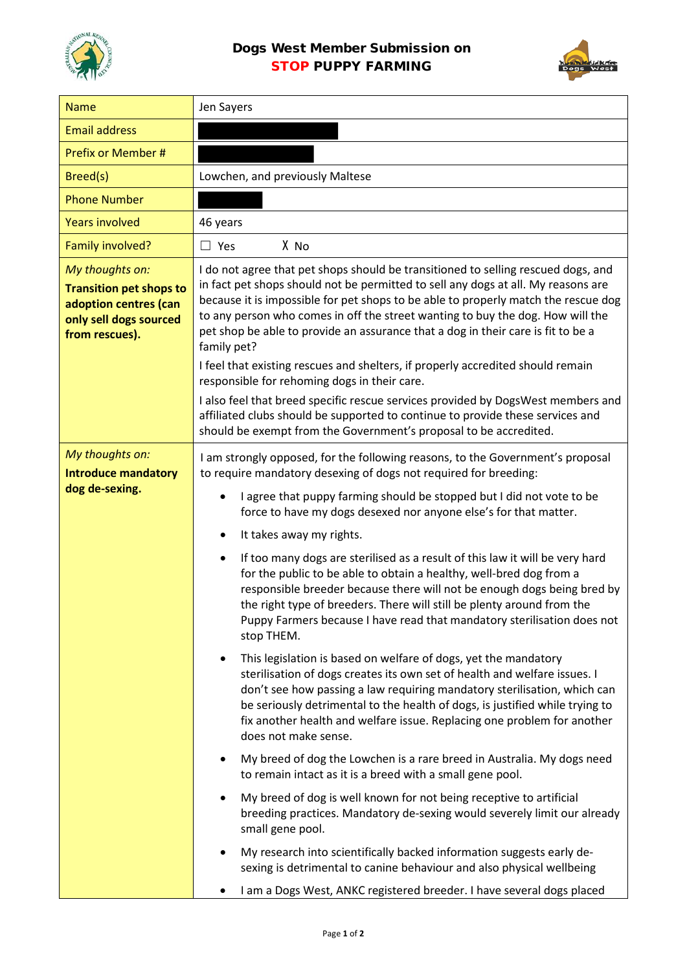

## Dogs West Member Submission on STOP PUPPY FARMING



| <b>Name</b>                                                                                                            | Jen Sayers                                                                                                                                                                                                                                                                                                                                                                                                                                                                                                                                                                                                                                                                                                                                                                                                                                                                                                                                                                                                                                                                                                                                                                                                                                                                                                                                                                                                                                                                                                                                                                 |
|------------------------------------------------------------------------------------------------------------------------|----------------------------------------------------------------------------------------------------------------------------------------------------------------------------------------------------------------------------------------------------------------------------------------------------------------------------------------------------------------------------------------------------------------------------------------------------------------------------------------------------------------------------------------------------------------------------------------------------------------------------------------------------------------------------------------------------------------------------------------------------------------------------------------------------------------------------------------------------------------------------------------------------------------------------------------------------------------------------------------------------------------------------------------------------------------------------------------------------------------------------------------------------------------------------------------------------------------------------------------------------------------------------------------------------------------------------------------------------------------------------------------------------------------------------------------------------------------------------------------------------------------------------------------------------------------------------|
| <b>Email address</b>                                                                                                   |                                                                                                                                                                                                                                                                                                                                                                                                                                                                                                                                                                                                                                                                                                                                                                                                                                                                                                                                                                                                                                                                                                                                                                                                                                                                                                                                                                                                                                                                                                                                                                            |
| Prefix or Member #                                                                                                     |                                                                                                                                                                                                                                                                                                                                                                                                                                                                                                                                                                                                                                                                                                                                                                                                                                                                                                                                                                                                                                                                                                                                                                                                                                                                                                                                                                                                                                                                                                                                                                            |
| Breed(s)                                                                                                               | Lowchen, and previously Maltese                                                                                                                                                                                                                                                                                                                                                                                                                                                                                                                                                                                                                                                                                                                                                                                                                                                                                                                                                                                                                                                                                                                                                                                                                                                                                                                                                                                                                                                                                                                                            |
| <b>Phone Number</b>                                                                                                    |                                                                                                                                                                                                                                                                                                                                                                                                                                                                                                                                                                                                                                                                                                                                                                                                                                                                                                                                                                                                                                                                                                                                                                                                                                                                                                                                                                                                                                                                                                                                                                            |
| <b>Years involved</b>                                                                                                  | 46 years                                                                                                                                                                                                                                                                                                                                                                                                                                                                                                                                                                                                                                                                                                                                                                                                                                                                                                                                                                                                                                                                                                                                                                                                                                                                                                                                                                                                                                                                                                                                                                   |
| Family involved?                                                                                                       | X No<br>$\Box$ Yes                                                                                                                                                                                                                                                                                                                                                                                                                                                                                                                                                                                                                                                                                                                                                                                                                                                                                                                                                                                                                                                                                                                                                                                                                                                                                                                                                                                                                                                                                                                                                         |
| My thoughts on:<br><b>Transition pet shops to</b><br>adoption centres (can<br>only sell dogs sourced<br>from rescues). | I do not agree that pet shops should be transitioned to selling rescued dogs, and<br>in fact pet shops should not be permitted to sell any dogs at all. My reasons are<br>because it is impossible for pet shops to be able to properly match the rescue dog<br>to any person who comes in off the street wanting to buy the dog. How will the<br>pet shop be able to provide an assurance that a dog in their care is fit to be a<br>family pet?<br>I feel that existing rescues and shelters, if properly accredited should remain<br>responsible for rehoming dogs in their care.                                                                                                                                                                                                                                                                                                                                                                                                                                                                                                                                                                                                                                                                                                                                                                                                                                                                                                                                                                                       |
|                                                                                                                        | I also feel that breed specific rescue services provided by DogsWest members and<br>affiliated clubs should be supported to continue to provide these services and<br>should be exempt from the Government's proposal to be accredited.                                                                                                                                                                                                                                                                                                                                                                                                                                                                                                                                                                                                                                                                                                                                                                                                                                                                                                                                                                                                                                                                                                                                                                                                                                                                                                                                    |
| My thoughts on:<br><b>Introduce mandatory</b><br>dog de-sexing.                                                        | I am strongly opposed, for the following reasons, to the Government's proposal<br>to require mandatory desexing of dogs not required for breeding:<br>I agree that puppy farming should be stopped but I did not vote to be<br>force to have my dogs desexed nor anyone else's for that matter.<br>It takes away my rights.<br>$\bullet$<br>If too many dogs are sterilised as a result of this law it will be very hard<br>$\bullet$<br>for the public to be able to obtain a healthy, well-bred dog from a<br>responsible breeder because there will not be enough dogs being bred by<br>the right type of breeders. There will still be plenty around from the<br>Puppy Farmers because I have read that mandatory sterilisation does not<br>stop THEM.<br>This legislation is based on welfare of dogs, yet the mandatory<br>٠<br>sterilisation of dogs creates its own set of health and welfare issues. I<br>don't see how passing a law requiring mandatory sterilisation, which can<br>be seriously detrimental to the health of dogs, is justified while trying to<br>fix another health and welfare issue. Replacing one problem for another<br>does not make sense.<br>My breed of dog the Lowchen is a rare breed in Australia. My dogs need<br>to remain intact as it is a breed with a small gene pool.<br>My breed of dog is well known for not being receptive to artificial<br>٠<br>breeding practices. Mandatory de-sexing would severely limit our already<br>small gene pool.<br>My research into scientifically backed information suggests early de- |
|                                                                                                                        | sexing is detrimental to canine behaviour and also physical wellbeing<br>I am a Dogs West, ANKC registered breeder. I have several dogs placed                                                                                                                                                                                                                                                                                                                                                                                                                                                                                                                                                                                                                                                                                                                                                                                                                                                                                                                                                                                                                                                                                                                                                                                                                                                                                                                                                                                                                             |